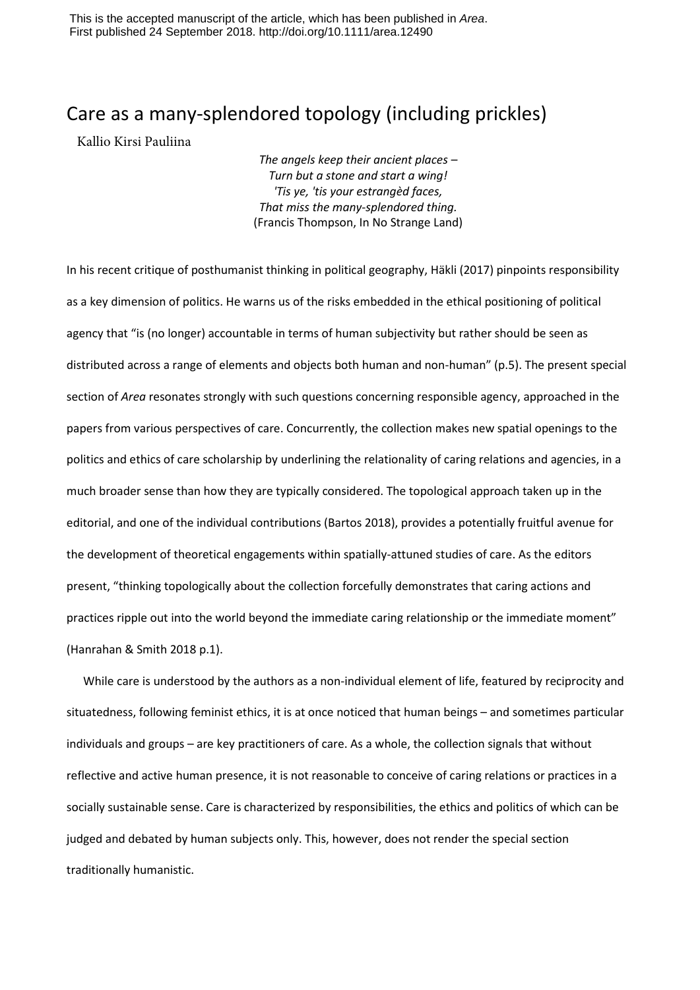This is the accepted manuscript of the article, which has been published in *Area*. First published 24 September 2018. http://doi.org/10.1111/area.12490

## Care as a many-splendored topology (including prickles)

Kallio Kirsi Pauliina

*The angels keep their ancient places – Turn but a stone and start a wing! 'Tis ye, 'tis your estrangèd faces, That miss the many-splendored thing.* (Francis Thompson, In No Strange Land)

In his recent critique of posthumanist thinking in political geography, Häkli (2017) pinpoints responsibility as a key dimension of politics. He warns us of the risks embedded in the ethical positioning of political agency that "is (no longer) accountable in terms of human subjectivity but rather should be seen as distributed across a range of elements and objects both human and non-human" (p.5). The present special section of *Area* resonates strongly with such questions concerning responsible agency, approached in the papers from various perspectives of care. Concurrently, the collection makes new spatial openings to the politics and ethics of care scholarship by underlining the relationality of caring relations and agencies, in a much broader sense than how they are typically considered. The topological approach taken up in the editorial, and one of the individual contributions (Bartos 2018), provides a potentially fruitful avenue for the development of theoretical engagements within spatially-attuned studies of care. As the editors present, "thinking topologically about the collection forcefully demonstrates that caring actions and practices ripple out into the world beyond the immediate caring relationship or the immediate moment" (Hanrahan & Smith 2018 p.1).

While care is understood by the authors as a non-individual element of life, featured by reciprocity and situatedness, following feminist ethics, it is at once noticed that human beings – and sometimes particular individuals and groups – are key practitioners of care. As a whole, the collection signals that without reflective and active human presence, it is not reasonable to conceive of caring relations or practices in a socially sustainable sense. Care is characterized by responsibilities, the ethics and politics of which can be judged and debated by human subjects only. This, however, does not render the special section traditionally humanistic.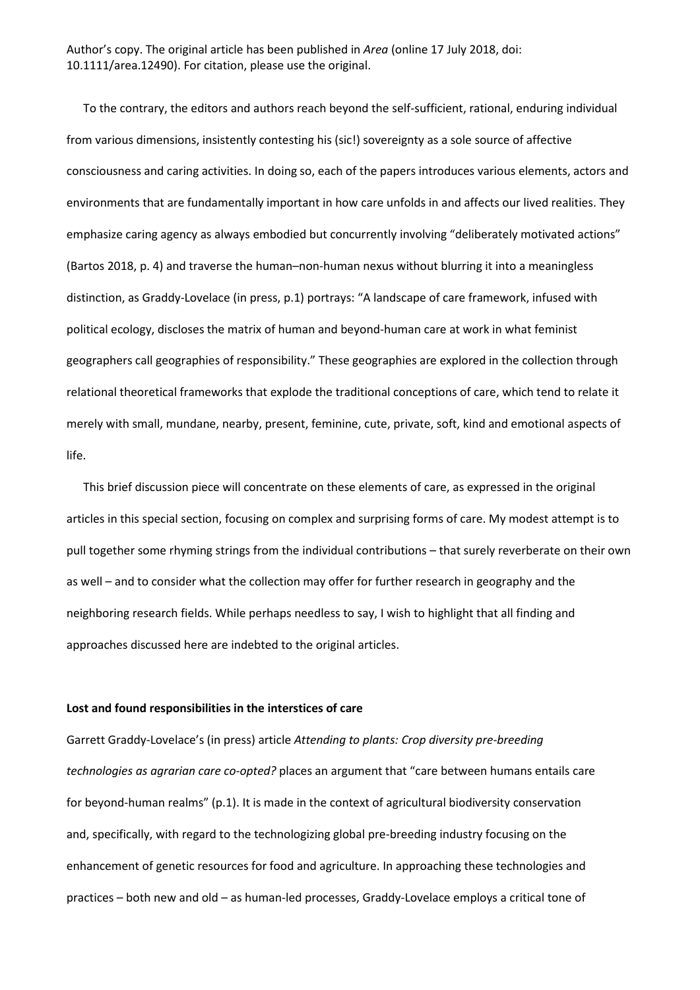To the contrary, the editors and authors reach beyond the self-sufficient, rational, enduring individual from various dimensions, insistently contesting his (sic!) sovereignty as a sole source of affective consciousness and caring activities. In doing so, each of the papers introduces various elements, actors and environments that are fundamentally important in how care unfolds in and affects our lived realities. They emphasize caring agency as always embodied but concurrently involving "deliberately motivated actions" (Bartos 2018, p. 4) and traverse the human–non-human nexus without blurring it into a meaningless distinction, as Graddy-Lovelace (in press, p.1) portrays: "A landscape of care framework, infused with political ecology, discloses the matrix of human and beyond-human care at work in what feminist geographers call geographies of responsibility." These geographies are explored in the collection through relational theoretical frameworks that explode the traditional conceptions of care, which tend to relate it merely with small, mundane, nearby, present, feminine, cute, private, soft, kind and emotional aspects of life.

This brief discussion piece will concentrate on these elements of care, as expressed in the original articles in this special section, focusing on complex and surprising forms of care. My modest attempt is to pull together some rhyming strings from the individual contributions – that surely reverberate on their own as well – and to consider what the collection may offer for further research in geography and the neighboring research fields. While perhaps needless to say, I wish to highlight that all finding and approaches discussed here are indebted to the original articles.

## **Lost and found responsibilities in the interstices of care**

Garrett Graddy-Lovelace's (in press) article *Attending to plants: Crop diversity pre-breeding technologies as agrarian care co-opted?* places an argument that "care between humans entails care for beyond-human realms" (p.1). It is made in the context of agricultural biodiversity conservation and, specifically, with regard to the technologizing global pre-breeding industry focusing on the enhancement of genetic resources for food and agriculture. In approaching these technologies and practices – both new and old – as human-led processes, Graddy-Lovelace employs a critical tone of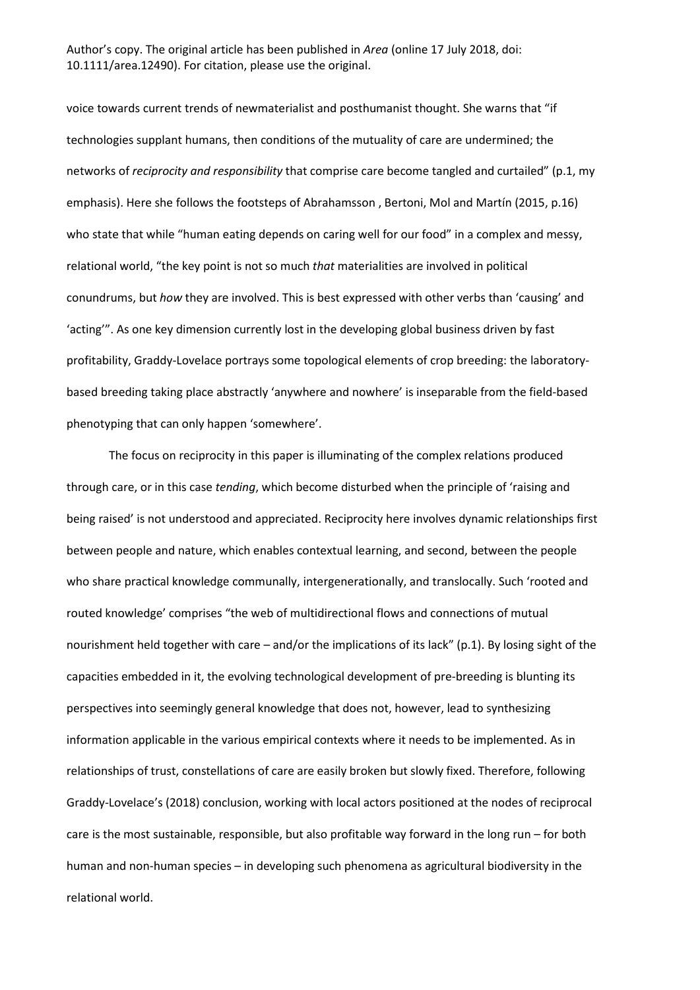voice towards current trends of newmaterialist and posthumanist thought. She warns that "if technologies supplant humans, then conditions of the mutuality of care are undermined; the networks of *reciprocity and responsibility* that comprise care become tangled and curtailed" (p.1, my emphasis). Here she follows the footsteps of Abrahamsson , Bertoni, Mol and Martín (2015, p.16) who state that while "human eating depends on caring well for our food" in a complex and messy, relational world, "the key point is not so much *that* materialities are involved in political conundrums, but *how* they are involved. This is best expressed with other verbs than 'causing' and 'acting'". As one key dimension currently lost in the developing global business driven by fast profitability, Graddy-Lovelace portrays some topological elements of crop breeding: the laboratorybased breeding taking place abstractly 'anywhere and nowhere' is inseparable from the field-based phenotyping that can only happen 'somewhere'.

The focus on reciprocity in this paper is illuminating of the complex relations produced through care, or in this case *tending*, which become disturbed when the principle of 'raising and being raised' is not understood and appreciated. Reciprocity here involves dynamic relationships first between people and nature, which enables contextual learning, and second, between the people who share practical knowledge communally, intergenerationally, and translocally. Such 'rooted and routed knowledge' comprises "the web of multidirectional flows and connections of mutual nourishment held together with care – and/or the implications of its lack" (p.1). By losing sight of the capacities embedded in it, the evolving technological development of pre-breeding is blunting its perspectives into seemingly general knowledge that does not, however, lead to synthesizing information applicable in the various empirical contexts where it needs to be implemented. As in relationships of trust, constellations of care are easily broken but slowly fixed. Therefore, following Graddy-Lovelace's (2018) conclusion, working with local actors positioned at the nodes of reciprocal care is the most sustainable, responsible, but also profitable way forward in the long run – for both human and non-human species – in developing such phenomena as agricultural biodiversity in the relational world.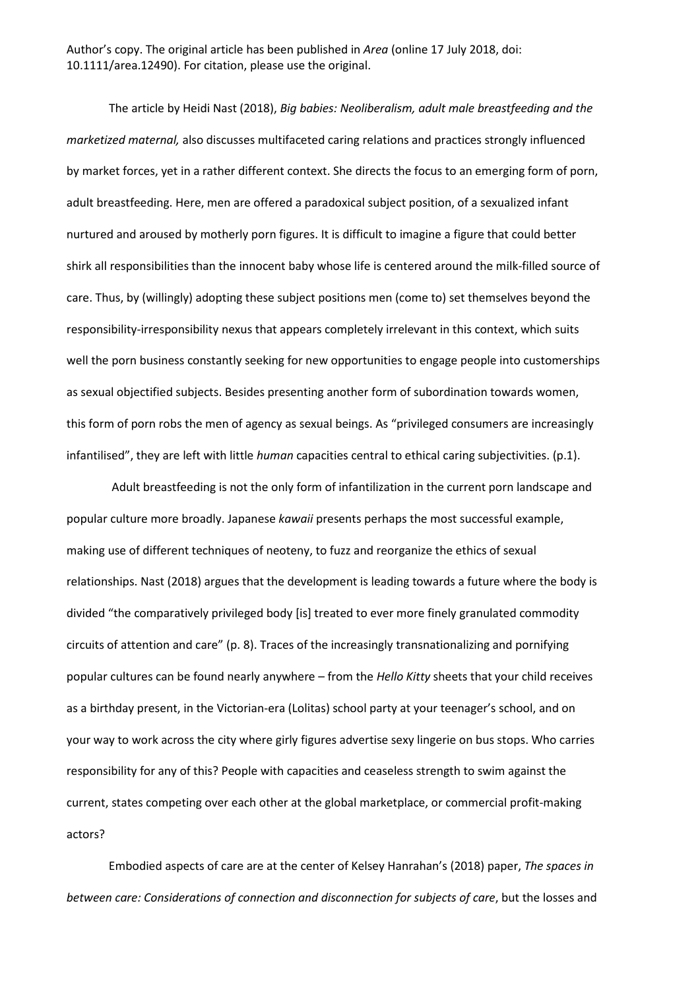The article by Heidi Nast (2018), *Big babies: Neoliberalism, adult male breastfeeding and the marketized maternal,* also discusses multifaceted caring relations and practices strongly influenced by market forces, yet in a rather different context. She directs the focus to an emerging form of porn, adult breastfeeding. Here, men are offered a paradoxical subject position, of a sexualized infant nurtured and aroused by motherly porn figures. It is difficult to imagine a figure that could better shirk all responsibilities than the innocent baby whose life is centered around the milk-filled source of care. Thus, by (willingly) adopting these subject positions men (come to) set themselves beyond the responsibility-irresponsibility nexus that appears completely irrelevant in this context, which suits well the porn business constantly seeking for new opportunities to engage people into customerships as sexual objectified subjects. Besides presenting another form of subordination towards women, this form of porn robs the men of agency as sexual beings. As "privileged consumers are increasingly infantilised", they are left with little *human* capacities central to ethical caring subjectivities. (p.1).

Adult breastfeeding is not the only form of infantilization in the current porn landscape and popular culture more broadly. Japanese *kawaii* presents perhaps the most successful example, making use of different techniques of neoteny, to fuzz and reorganize the ethics of sexual relationships. Nast (2018) argues that the development is leading towards a future where the body is divided "the comparatively privileged body [is] treated to ever more finely granulated commodity circuits of attention and care" (p. 8). Traces of the increasingly transnationalizing and pornifying popular cultures can be found nearly anywhere – from the *Hello Kitty* sheets that your child receives as a birthday present, in the Victorian-era (Lolitas) school party at your teenager's school, and on your way to work across the city where girly figures advertise sexy lingerie on bus stops. Who carries responsibility for any of this? People with capacities and ceaseless strength to swim against the current, states competing over each other at the global marketplace, or commercial profit-making actors?

Embodied aspects of care are at the center of Kelsey Hanrahan's (2018) paper, *The spaces in between care: Considerations of connection and disconnection for subjects of care*, but the losses and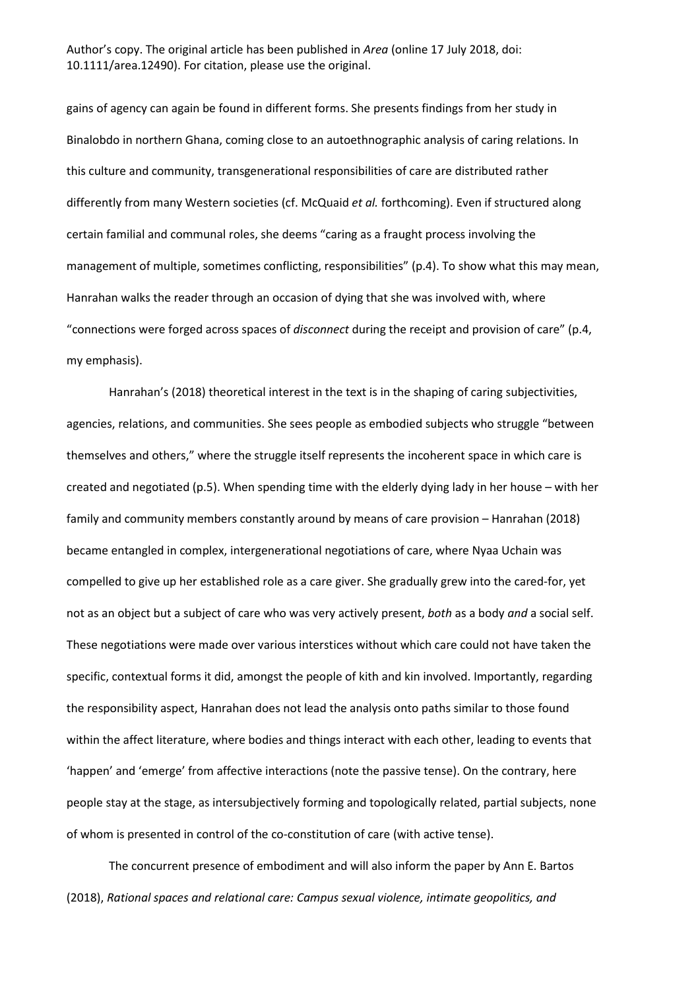gains of agency can again be found in different forms. She presents findings from her study in Binalobdo in northern Ghana, coming close to an autoethnographic analysis of caring relations. In this culture and community, transgenerational responsibilities of care are distributed rather differently from many Western societies (cf. McQuaid *et al.* forthcoming). Even if structured along certain familial and communal roles, she deems "caring as a fraught process involving the management of multiple, sometimes conflicting, responsibilities" (p.4). To show what this may mean, Hanrahan walks the reader through an occasion of dying that she was involved with, where "connections were forged across spaces of *disconnect* during the receipt and provision of care" (p.4, my emphasis).

Hanrahan's (2018) theoretical interest in the text is in the shaping of caring subjectivities, agencies, relations, and communities. She sees people as embodied subjects who struggle "between themselves and others," where the struggle itself represents the incoherent space in which care is created and negotiated (p.5). When spending time with the elderly dying lady in her house – with her family and community members constantly around by means of care provision – Hanrahan (2018) became entangled in complex, intergenerational negotiations of care, where Nyaa Uchain was compelled to give up her established role as a care giver. She gradually grew into the cared-for, yet not as an object but a subject of care who was very actively present, *both* as a body *and* a social self. These negotiations were made over various interstices without which care could not have taken the specific, contextual forms it did, amongst the people of kith and kin involved. Importantly, regarding the responsibility aspect, Hanrahan does not lead the analysis onto paths similar to those found within the affect literature, where bodies and things interact with each other, leading to events that 'happen' and 'emerge' from affective interactions (note the passive tense). On the contrary, here people stay at the stage, as intersubjectively forming and topologically related, partial subjects, none of whom is presented in control of the co-constitution of care (with active tense).

The concurrent presence of embodiment and will also inform the paper by Ann E. Bartos (2018), *Rational spaces and relational care: Campus sexual violence, intimate geopolitics, and*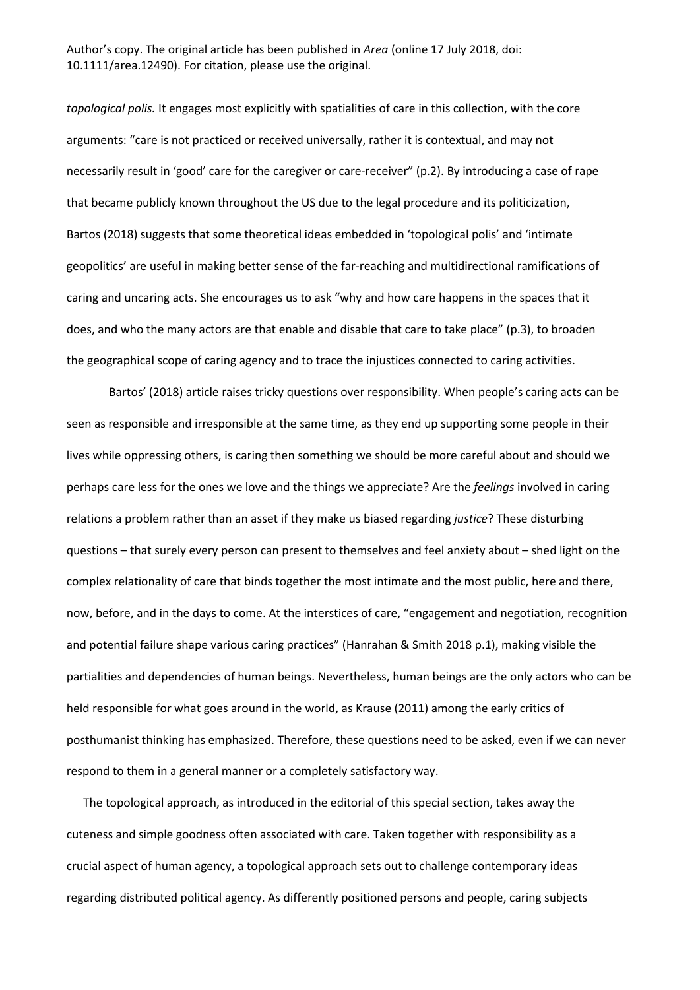*topological polis.* It engages most explicitly with spatialities of care in this collection, with the core arguments: "care is not practiced or received universally, rather it is contextual, and may not necessarily result in 'good' care for the caregiver or care-receiver" (p.2). By introducing a case of rape that became publicly known throughout the US due to the legal procedure and its politicization, Bartos (2018) suggests that some theoretical ideas embedded in 'topological polis' and 'intimate geopolitics' are useful in making better sense of the far-reaching and multidirectional ramifications of caring and uncaring acts. She encourages us to ask "why and how care happens in the spaces that it does, and who the many actors are that enable and disable that care to take place" (p.3), to broaden the geographical scope of caring agency and to trace the injustices connected to caring activities.

Bartos' (2018) article raises tricky questions over responsibility. When people's caring acts can be seen as responsible and irresponsible at the same time, as they end up supporting some people in their lives while oppressing others, is caring then something we should be more careful about and should we perhaps care less for the ones we love and the things we appreciate? Are the *feelings* involved in caring relations a problem rather than an asset if they make us biased regarding *justice*? These disturbing questions – that surely every person can present to themselves and feel anxiety about – shed light on the complex relationality of care that binds together the most intimate and the most public, here and there, now, before, and in the days to come. At the interstices of care, "engagement and negotiation, recognition and potential failure shape various caring practices" (Hanrahan & Smith 2018 p.1), making visible the partialities and dependencies of human beings. Nevertheless, human beings are the only actors who can be held responsible for what goes around in the world, as Krause (2011) among the early critics of posthumanist thinking has emphasized. Therefore, these questions need to be asked, even if we can never respond to them in a general manner or a completely satisfactory way.

The topological approach, as introduced in the editorial of this special section, takes away the cuteness and simple goodness often associated with care. Taken together with responsibility as a crucial aspect of human agency, a topological approach sets out to challenge contemporary ideas regarding distributed political agency. As differently positioned persons and people, caring subjects